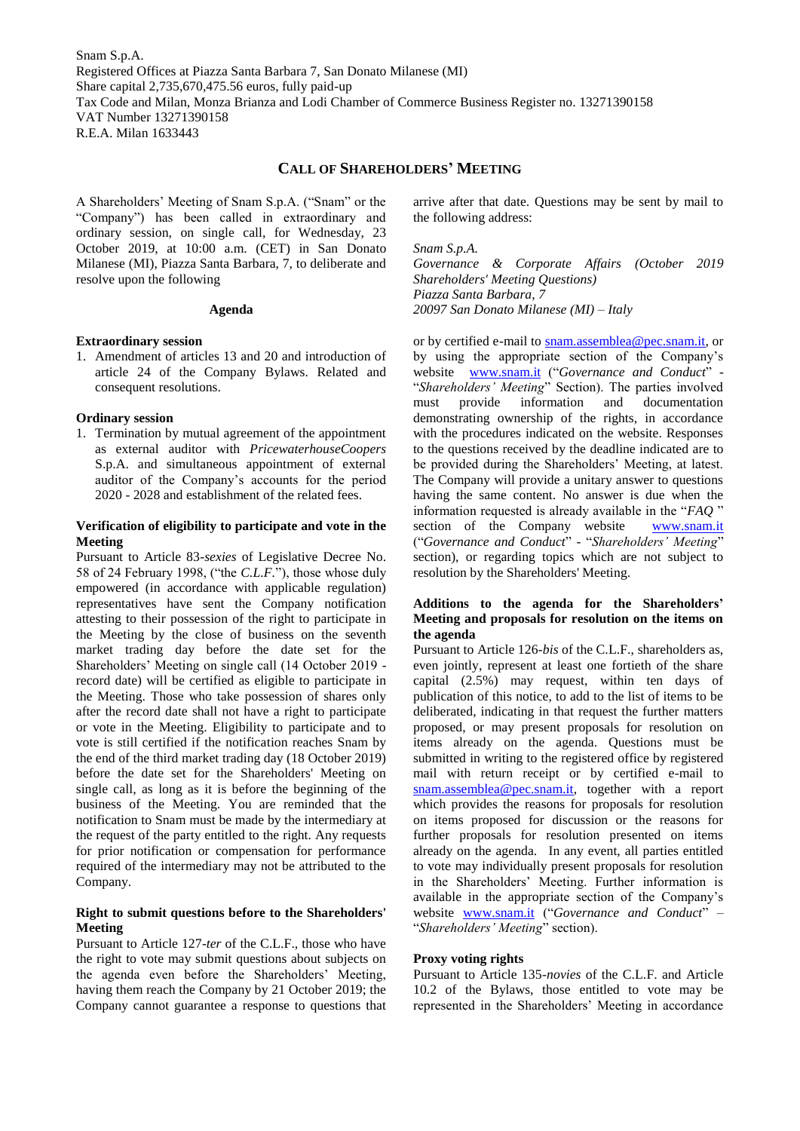Snam S.p.A. Registered Offices at Piazza Santa Barbara 7, San Donato Milanese (MI) Share capital 2,735,670,475.56 euros, fully paid-up Tax Code and Milan, Monza Brianza and Lodi Chamber of Commerce Business Register no. 13271390158 VAT Number 13271390158 R.E.A. Milan 1633443

## **CALL OF SHAREHOLDERS' MEETING**

A Shareholders' Meeting of Snam S.p.A. ("Snam" or the "Company") has been called in extraordinary and ordinary session, on single call, for Wednesday, 23 October 2019, at 10:00 a.m. (CET) in San Donato Milanese (MI), Piazza Santa Barbara, 7, to deliberate and resolve upon the following

#### **Agenda**

#### **Extraordinary session**

1. Amendment of articles 13 and 20 and introduction of article 24 of the Company Bylaws. Related and consequent resolutions.

#### **Ordinary session**

1. Termination by mutual agreement of the appointment as external auditor with *PricewaterhouseCoopers* S.p.A. and simultaneous appointment of external auditor of the Company's accounts for the period 2020 - 2028 and establishment of the related fees.

## **Verification of eligibility to participate and vote in the Meeting**

Pursuant to Article 83-*sexies* of Legislative Decree No. 58 of 24 February 1998, ("the *C.L.F.*"), those whose duly empowered (in accordance with applicable regulation) representatives have sent the Company notification attesting to their possession of the right to participate in the Meeting by the close of business on the seventh market trading day before the date set for the Shareholders' Meeting on single call (14 October 2019 record date) will be certified as eligible to participate in the Meeting. Those who take possession of shares only after the record date shall not have a right to participate or vote in the Meeting. Eligibility to participate and to vote is still certified if the notification reaches Snam by the end of the third market trading day (18 October 2019) before the date set for the Shareholders' Meeting on single call, as long as it is before the beginning of the business of the Meeting. You are reminded that the notification to Snam must be made by the intermediary at the request of the party entitled to the right. Any requests for prior notification or compensation for performance required of the intermediary may not be attributed to the Company.

### **Right to submit questions before to the Shareholders' Meeting**

Pursuant to Article 127-*ter* of the C.L.F., those who have the right to vote may submit questions about subjects on the agenda even before the Shareholders' Meeting, having them reach the Company by 21 October 2019; the Company cannot guarantee a response to questions that

arrive after that date. Questions may be sent by mail to the following address:

*Snam S.p.A.*

*Governance & Corporate Affairs (October 2019 Shareholders' Meeting Questions) Piazza Santa Barbara, 7 20097 San Donato Milanese (MI) – Italy*

or by certified e-mail to [snam.assemblea@pec.snam.it,](mailto:snam.assemblea@pec.snam.it) or by using the appropriate section of the Company's website [www.snam.it](http://www.snam.it/) ("*Governance and Conduct*" - "*Shareholders' Meeting*" Section). The parties involved must provide information and documentation demonstrating ownership of the rights, in accordance with the procedures indicated on the website. Responses to the questions received by the deadline indicated are to be provided during the Shareholders' Meeting, at latest. The Company will provide a unitary answer to questions having the same content. No answer is due when the information requested is already available in the "*FAQ* " section of the Company website [www.snam.it](http://www.snam.it/) ("*Governance and Conduct*" - "*Shareholders' Meeting*" section), or regarding topics which are not subject to resolution by the Shareholders' Meeting.

## **Additions to the agenda for the Shareholders' Meeting and proposals for resolution on the items on the agenda**

Pursuant to Article 126*-bis* of the C.L.F., shareholders as, even jointly, represent at least one fortieth of the share capital (2.5%) may request, within ten days of publication of this notice, to add to the list of items to be deliberated, indicating in that request the further matters proposed, or may present proposals for resolution on items already on the agenda. Questions must be submitted in writing to the registered office by registered mail with return receipt or by certified e-mail to [snam.assemblea@pec.snam.it,](mailto:snam.assemblea@pec.snam.it) together with a report which provides the reasons for proposals for resolution on items proposed for discussion or the reasons for further proposals for resolution presented on items already on the agenda. In any event, all parties entitled to vote may individually present proposals for resolution in the Shareholders' Meeting. Further information is available in the appropriate section of the Company's website [www.snam.it](http://www.snam.it/) ("*Governance and Conduct*" – "*Shareholders' Meeting*" section).

#### **Proxy voting rights**

Pursuant to Article 135*-novies* of the C.L.F. and Article 10.2 of the Bylaws, those entitled to vote may be represented in the Shareholders' Meeting in accordance